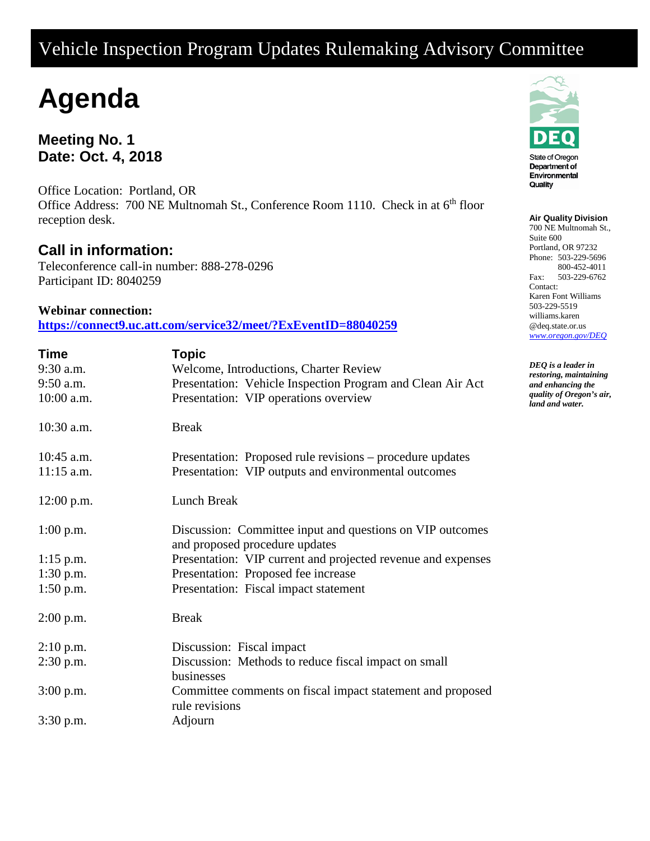# Vehicle Inspection Program Updates Rulemaking Advisory Committee

# **Agenda**

**Meeting No. 1 Date: Oct. 4, 2018**

Office Location: Portland, OR Office Address: 700 NE Multnomah St., Conference Room 1110. Check in at 6<sup>th</sup> floor reception desk.

## **Call in information:**

Teleconference call-in number: 888-278-0296 Participant ID: 8040259

### **Webinar connection:**

**https://connect9.uc.att.com/service32/meet/?ExEventID=88040259**

| Time         | <b>Topic</b>                                                                                |
|--------------|---------------------------------------------------------------------------------------------|
| 9:30 a.m.    | Welcome, Introductions, Charter Review                                                      |
| 9:50 a.m.    | Presentation: Vehicle Inspection Program and Clean Air Act                                  |
| 10:00 a.m.   | Presentation: VIP operations overview                                                       |
| 10:30 a.m.   | <b>Break</b>                                                                                |
| 10:45 a.m.   | Presentation: Proposed rule revisions – procedure updates                                   |
| $11:15$ a.m. | Presentation: VIP outputs and environmental outcomes                                        |
| $12:00$ p.m. | Lunch Break                                                                                 |
| $1:00$ p.m.  | Discussion: Committee input and questions on VIP outcomes<br>and proposed procedure updates |
| $1:15$ p.m.  | Presentation: VIP current and projected revenue and expenses                                |
| $1:30$ p.m.  | Presentation: Proposed fee increase                                                         |
| $1:50$ p.m.  | Presentation: Fiscal impact statement                                                       |
| $2:00$ p.m.  | <b>Break</b>                                                                                |
| $2:10$ p.m.  | Discussion: Fiscal impact                                                                   |
| $2:30$ p.m.  | Discussion: Methods to reduce fiscal impact on small<br>businesses                          |
| $3:00$ p.m.  | Committee comments on fiscal impact statement and proposed<br>rule revisions                |
| 3:30 p.m.    | Adjourn                                                                                     |



#### **Air Quality Division**

700 NE Multnomah St., Suite 600 Portland, OR 97232 Phone: 503-229-5696 800-452-4011 Fax: 503-229-6762 Contact: Karen Font Williams 503-229-5519 williams.karen @deq.state.or.us *[www.oregon.gov/DEQ](file://deq001/templates/General/www.oregon.gov/DEQ)*

*DEQ is a leader in restoring, maintaining and enhancing the quality of Oregon's air, land and water.*